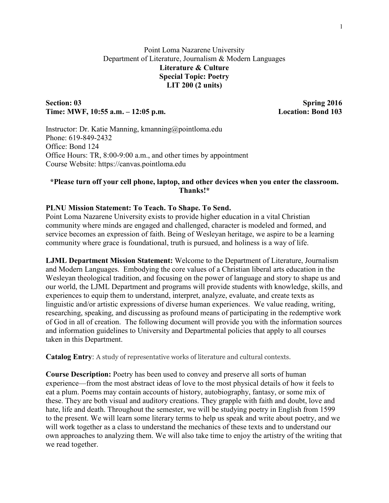# Point Loma Nazarene University Department of Literature, Journalism & Modern Languages **Literature & Culture Special Topic: Poetry LIT 200 (2 units)**

# Section: 03 Spring 2016 **Time: MWF, 10:55 a.m. – 12:05 p.m. Location: Bond 103**

Instructor: Dr. Katie Manning, kmanning@pointloma.edu Phone: 619-849-2432 Office: Bond 124 Office Hours: TR, 8:00-9:00 a.m., and other times by appointment Course Website: https://canvas.pointloma.edu

# **\*Please turn off your cell phone, laptop, and other devices when you enter the classroom. Thanks!\***

## **PLNU Mission Statement: To Teach. To Shape. To Send.**

Point Loma Nazarene University exists to provide higher education in a vital Christian community where minds are engaged and challenged, character is modeled and formed, and service becomes an expression of faith. Being of Wesleyan heritage, we aspire to be a learning community where grace is foundational, truth is pursued, and holiness is a way of life.

**LJML Department Mission Statement:** Welcome to the Department of Literature, Journalism and Modern Languages. Embodying the core values of a Christian liberal arts education in the Wesleyan theological tradition, and focusing on the power of language and story to shape us and our world, the LJML Department and programs will provide students with knowledge, skills, and experiences to equip them to understand, interpret, analyze, evaluate, and create texts as linguistic and/or artistic expressions of diverse human experiences. We value reading, writing, researching, speaking, and discussing as profound means of participating in the redemptive work of God in all of creation. The following document will provide you with the information sources and information guidelines to University and Departmental policies that apply to all courses taken in this Department.

**Catalog Entry**: A study of representative works of literature and cultural contexts.

**Course Description:** Poetry has been used to convey and preserve all sorts of human experience—from the most abstract ideas of love to the most physical details of how it feels to eat a plum. Poems may contain accounts of history, autobiography, fantasy, or some mix of these. They are both visual and auditory creations. They grapple with faith and doubt, love and hate, life and death. Throughout the semester, we will be studying poetry in English from 1599 to the present. We will learn some literary terms to help us speak and write about poetry, and we will work together as a class to understand the mechanics of these texts and to understand our own approaches to analyzing them. We will also take time to enjoy the artistry of the writing that we read together.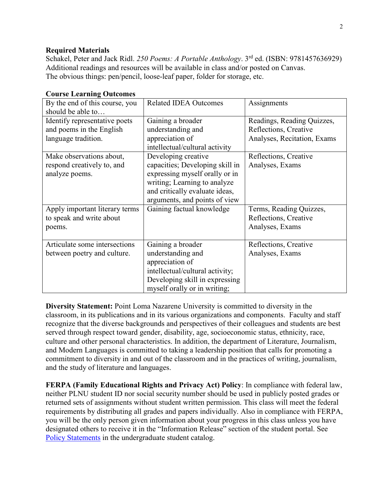## **Required Materials**

Schakel, Peter and Jack Ridl. *250 Poems: A Portable Anthology*. 3rd ed. (ISBN: 9781457636929) Additional readings and resources will be available in class and/or posted on Canvas. The obvious things: pen/pencil, loose-leaf paper, folder for storage, etc.

| $\sim$ and $\sim$ Equiming $\sim$ alcomes                                        |                                                                                                                                                                                             |                                                                                    |
|----------------------------------------------------------------------------------|---------------------------------------------------------------------------------------------------------------------------------------------------------------------------------------------|------------------------------------------------------------------------------------|
| By the end of this course, you<br>should be able to                              | <b>Related IDEA Outcomes</b>                                                                                                                                                                | Assignments                                                                        |
| Identify representative poets<br>and poems in the English<br>language tradition. | Gaining a broader<br>understanding and<br>appreciation of<br>intellectual/cultural activity                                                                                                 | Readings, Reading Quizzes,<br>Reflections, Creative<br>Analyses, Recitation, Exams |
| Make observations about,<br>respond creatively to, and<br>analyze poems.         | Developing creative<br>capacities; Developing skill in<br>expressing myself orally or in<br>writing; Learning to analyze<br>and critically evaluate ideas,<br>arguments, and points of view | Reflections, Creative<br>Analyses, Exams                                           |
| Apply important literary terms<br>to speak and write about<br>poems.             | Gaining factual knowledge                                                                                                                                                                   | Terms, Reading Quizzes,<br>Reflections, Creative<br>Analyses, Exams                |
| Articulate some intersections<br>between poetry and culture.                     | Gaining a broader<br>understanding and<br>appreciation of<br>intellectual/cultural activity;<br>Developing skill in expressing<br>myself orally or in writing;                              | Reflections, Creative<br>Analyses, Exams                                           |

## **Course Learning Outcomes**

**Diversity Statement:** Point Loma Nazarene University is committed to diversity in the classroom, in its publications and in its various organizations and components. Faculty and staff recognize that the diverse backgrounds and perspectives of their colleagues and students are best served through respect toward gender, disability, age, socioeconomic status, ethnicity, race, culture and other personal characteristics. In addition, the department of Literature, Journalism, and Modern Languages is committed to taking a leadership position that calls for promoting a commitment to diversity in and out of the classroom and in the practices of writing, journalism, and the study of literature and languages.

**FERPA (Family Educational Rights and Privacy Act) Policy**: In compliance with federal law, neither PLNU student ID nor social security number should be used in publicly posted grades or returned sets of assignments without student written permission. This class will meet the federal requirements by distributing all grades and papers individually. Also in compliance with FERPA, you will be the only person given information about your progress in this class unless you have designated others to receive it in the "Information Release" section of the student portal. See Policy Statements in the undergraduate student catalog.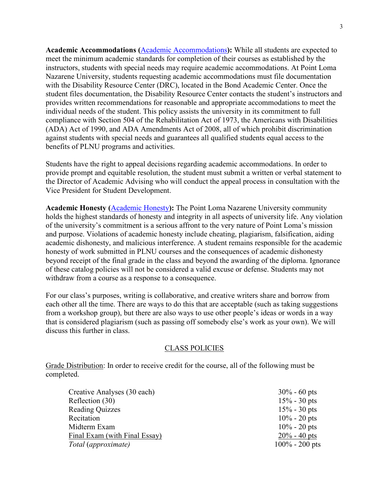**Academic Accommodations (**Academic Accommodations**):** While all students are expected to meet the minimum academic standards for completion of their courses as established by the instructors, students with special needs may require academic accommodations. At Point Loma Nazarene University, students requesting academic accommodations must file documentation with the Disability Resource Center (DRC), located in the Bond Academic Center. Once the student files documentation, the Disability Resource Center contacts the student's instructors and provides written recommendations for reasonable and appropriate accommodations to meet the individual needs of the student. This policy assists the university in its commitment to full compliance with Section 504 of the Rehabilitation Act of 1973, the Americans with Disabilities (ADA) Act of 1990, and ADA Amendments Act of 2008, all of which prohibit discrimination against students with special needs and guarantees all qualified students equal access to the benefits of PLNU programs and activities.

Students have the right to appeal decisions regarding academic accommodations. In order to provide prompt and equitable resolution, the student must submit a written or verbal statement to the Director of Academic Advising who will conduct the appeal process in consultation with the Vice President for Student Development.

**Academic Honesty (**Academic Honesty**):** The Point Loma Nazarene University community holds the highest standards of honesty and integrity in all aspects of university life. Any violation of the university's commitment is a serious affront to the very nature of Point Loma's mission and purpose. Violations of academic honesty include cheating, plagiarism, falsification, aiding academic dishonesty, and malicious interference. A student remains responsible for the academic honesty of work submitted in PLNU courses and the consequences of academic dishonesty beyond receipt of the final grade in the class and beyond the awarding of the diploma. Ignorance of these catalog policies will not be considered a valid excuse or defense. Students may not withdraw from a course as a response to a consequence.

For our class's purposes, writing is collaborative, and creative writers share and borrow from each other all the time. There are ways to do this that are acceptable (such as taking suggestions from a workshop group), but there are also ways to use other people's ideas or words in a way that is considered plagiarism (such as passing off somebody else's work as your own). We will discuss this further in class.

#### CLASS POLICIES

Grade Distribution: In order to receive credit for the course, all of the following must be completed.

| $30\% - 60$ pts   |
|-------------------|
| $15% - 30$ pts    |
| $15% - 30$ pts    |
| $10\% - 20$ pts   |
| $10\% - 20$ pts   |
| $20\% - 40$ pts   |
| $100\% - 200$ pts |
|                   |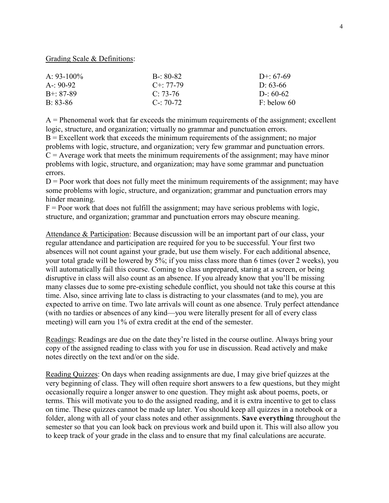Grading Scale & Definitions:

| $A \cdot 93 - 100\%$ | $B - 80 - 82$ | $D^{+}$ 67-69 |
|----------------------|---------------|---------------|
| $A - 90-92$          | $C + 77-79$   | $D: 63-66$    |
| $B + 87-89$          | $C: 73-76$    | $D - 60-62$   |
| $B: 83-86$           | $C - 70 - 72$ | $F:$ below 60 |

 $A =$  Phenomenal work that far exceeds the minimum requirements of the assignment; excellent logic, structure, and organization; virtually no grammar and punctuation errors.

 $B =$  Excellent work that exceeds the minimum requirements of the assignment; no major problems with logic, structure, and organization; very few grammar and punctuation errors.  $C =$  Average work that meets the minimum requirements of the assignment; may have minor problems with logic, structure, and organization; may have some grammar and punctuation errors.

 $D =$  Poor work that does not fully meet the minimum requirements of the assignment; may have some problems with logic, structure, and organization; grammar and punctuation errors may hinder meaning.

 $F =$  Poor work that does not fulfill the assignment; may have serious problems with logic, structure, and organization; grammar and punctuation errors may obscure meaning.

Attendance & Participation: Because discussion will be an important part of our class, your regular attendance and participation are required for you to be successful. Your first two absences will not count against your grade, but use them wisely. For each additional absence, your total grade will be lowered by 5%; if you miss class more than 6 times (over 2 weeks), you will automatically fail this course. Coming to class unprepared, staring at a screen, or being disruptive in class will also count as an absence. If you already know that you'll be missing many classes due to some pre-existing schedule conflict, you should not take this course at this time. Also, since arriving late to class is distracting to your classmates (and to me), you are expected to arrive on time. Two late arrivals will count as one absence. Truly perfect attendance (with no tardies or absences of any kind—you were literally present for all of every class meeting) will earn you 1% of extra credit at the end of the semester.

Readings: Readings are due on the date they're listed in the course outline. Always bring your copy of the assigned reading to class with you for use in discussion. Read actively and make notes directly on the text and/or on the side.

Reading Quizzes: On days when reading assignments are due, I may give brief quizzes at the very beginning of class. They will often require short answers to a few questions, but they might occasionally require a longer answer to one question. They might ask about poems, poets, or terms. This will motivate you to do the assigned reading, and it is extra incentive to get to class on time. These quizzes cannot be made up later. You should keep all quizzes in a notebook or a folder, along with all of your class notes and other assignments. **Save everything** throughout the semester so that you can look back on previous work and build upon it. This will also allow you to keep track of your grade in the class and to ensure that my final calculations are accurate.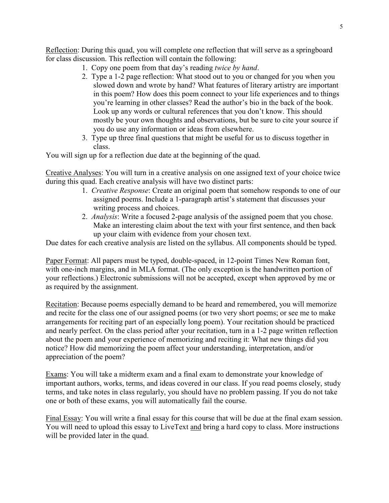Reflection: During this quad, you will complete one reflection that will serve as a springboard for class discussion. This reflection will contain the following:

- 1. Copy one poem from that day's reading *twice by hand*.
- 2. Type a 1-2 page reflection: What stood out to you or changed for you when you slowed down and wrote by hand? What features of literary artistry are important in this poem? How does this poem connect to your life experiences and to things you're learning in other classes? Read the author's bio in the back of the book. Look up any words or cultural references that you don't know. This should mostly be your own thoughts and observations, but be sure to cite your source if you do use any information or ideas from elsewhere.
- 3. Type up three final questions that might be useful for us to discuss together in class.

You will sign up for a reflection due date at the beginning of the quad.

Creative Analyses: You will turn in a creative analysis on one assigned text of your choice twice during this quad. Each creative analysis will have two distinct parts:

- 1. *Creative Response*: Create an original poem that somehow responds to one of our assigned poems. Include a 1-paragraph artist's statement that discusses your writing process and choices.
- 2. *Analysis*: Write a focused 2-page analysis of the assigned poem that you chose. Make an interesting claim about the text with your first sentence, and then back up your claim with evidence from your chosen text.

Due dates for each creative analysis are listed on the syllabus. All components should be typed.

Paper Format: All papers must be typed, double-spaced, in 12-point Times New Roman font, with one-inch margins, and in MLA format. (The only exception is the handwritten portion of your reflections.) Electronic submissions will not be accepted, except when approved by me or as required by the assignment.

Recitation: Because poems especially demand to be heard and remembered, you will memorize and recite for the class one of our assigned poems (or two very short poems; or see me to make arrangements for reciting part of an especially long poem). Your recitation should be practiced and nearly perfect. On the class period after your recitation, turn in a 1-2 page written reflection about the poem and your experience of memorizing and reciting it: What new things did you notice? How did memorizing the poem affect your understanding, interpretation, and/or appreciation of the poem?

Exams: You will take a midterm exam and a final exam to demonstrate your knowledge of important authors, works, terms, and ideas covered in our class. If you read poems closely, study terms, and take notes in class regularly, you should have no problem passing. If you do not take one or both of these exams, you will automatically fail the course.

Final Essay: You will write a final essay for this course that will be due at the final exam session. You will need to upload this essay to LiveText and bring a hard copy to class. More instructions will be provided later in the quad.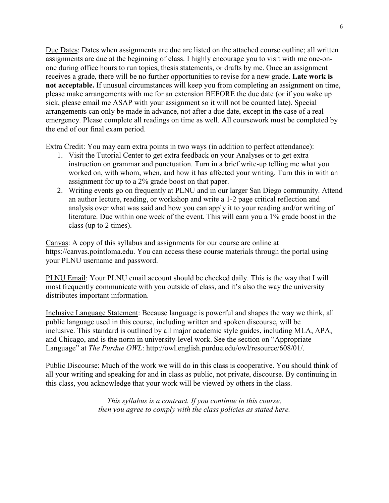Due Dates: Dates when assignments are due are listed on the attached course outline; all written assignments are due at the beginning of class. I highly encourage you to visit with me one-onone during office hours to run topics, thesis statements, or drafts by me. Once an assignment receives a grade, there will be no further opportunities to revise for a new grade. **Late work is not acceptable.** If unusual circumstances will keep you from completing an assignment on time, please make arrangements with me for an extension BEFORE the due date (or if you wake up sick, please email me ASAP with your assignment so it will not be counted late). Special arrangements can only be made in advance, not after a due date, except in the case of a real emergency. Please complete all readings on time as well. All coursework must be completed by the end of our final exam period.

Extra Credit: You may earn extra points in two ways (in addition to perfect attendance):

- 1. Visit the Tutorial Center to get extra feedback on your Analyses or to get extra instruction on grammar and punctuation. Turn in a brief write-up telling me what you worked on, with whom, when, and how it has affected your writing. Turn this in with an assignment for up to a 2% grade boost on that paper.
- 2. Writing events go on frequently at PLNU and in our larger San Diego community. Attend an author lecture, reading, or workshop and write a 1-2 page critical reflection and analysis over what was said and how you can apply it to your reading and/or writing of literature. Due within one week of the event. This will earn you a 1% grade boost in the class (up to 2 times).

Canvas: A copy of this syllabus and assignments for our course are online at https://canvas.pointloma.edu. You can access these course materials through the portal using your PLNU username and password.

PLNU Email: Your PLNU email account should be checked daily. This is the way that I will most frequently communicate with you outside of class, and it's also the way the university distributes important information.

Inclusive Language Statement: Because language is powerful and shapes the way we think, all public language used in this course, including written and spoken discourse, will be inclusive. This standard is outlined by all major academic style guides, including MLA, APA, and Chicago, and is the norm in university-level work. See the section on "Appropriate Language" at *The Purdue OWL*: http://owl.english.purdue.edu/owl/resource/608/01/.

Public Discourse: Much of the work we will do in this class is cooperative. You should think of all your writing and speaking for and in class as public, not private, discourse. By continuing in this class, you acknowledge that your work will be viewed by others in the class.

> *This syllabus is a contract. If you continue in this course, then you agree to comply with the class policies as stated here.*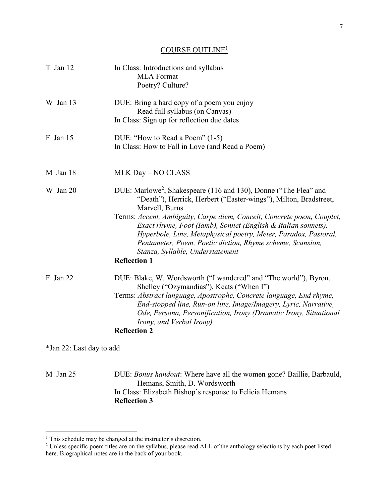# COURSE OUTLINE<sup>1</sup>

| T Jan 12                 | In Class: Introductions and syllabus<br><b>MLA</b> Format<br>Poetry? Culture?                                                                                                                                                                                                                                                                                                                                                                                                                            |
|--------------------------|----------------------------------------------------------------------------------------------------------------------------------------------------------------------------------------------------------------------------------------------------------------------------------------------------------------------------------------------------------------------------------------------------------------------------------------------------------------------------------------------------------|
| W Jan 13                 | DUE: Bring a hard copy of a poem you enjoy<br>Read full syllabus (on Canvas)<br>In Class: Sign up for reflection due dates                                                                                                                                                                                                                                                                                                                                                                               |
| $F$ Jan 15               | DUE: "How to Read a Poem" (1-5)<br>In Class: How to Fall in Love (and Read a Poem)                                                                                                                                                                                                                                                                                                                                                                                                                       |
| M Jan 18                 | MLK Day - NO CLASS                                                                                                                                                                                                                                                                                                                                                                                                                                                                                       |
| W Jan 20                 | DUE: Marlowe <sup>2</sup> , Shakespeare (116 and 130), Donne ("The Flea" and<br>"Death"), Herrick, Herbert ("Easter-wings"), Milton, Bradstreet,<br>Marvell, Burns<br>Terms: Accent, Ambiguity, Carpe diem, Conceit, Concrete poem, Couplet,<br>Exact rhyme, Foot (Iamb), Sonnet (English & Italian sonnets),<br>Hyperbole, Line, Metaphysical poetry, Meter, Paradox, Pastoral,<br>Pentameter, Poem, Poetic diction, Rhyme scheme, Scansion,<br>Stanza, Syllable, Understatement<br><b>Reflection 1</b> |
| $F$ Jan 22               | DUE: Blake, W. Wordsworth ("I wandered" and "The world"), Byron,<br>Shelley ("Ozymandias"), Keats ("When I")<br>Terms: Abstract language, Apostrophe, Concrete language, End rhyme,<br>End-stopped line, Run-on line, Image/Imagery, Lyric, Narrative,<br>Ode, Persona, Personification, Irony (Dramatic Irony, Situational<br>Irony, and Verbal Irony)<br><b>Reflection 2</b>                                                                                                                           |
| *Jan 22: Last day to add |                                                                                                                                                                                                                                                                                                                                                                                                                                                                                                          |
| M Jan 25                 | DUE: Bonus handout: Where have all the women gone? Baillie, Barbauld,<br>Hemans, Smith, D. Wordsworth                                                                                                                                                                                                                                                                                                                                                                                                    |

In Class: Elizabeth Bishop's response to Felicia Hemans **Reflection 3** 

 $\overline{a}$ 

<sup>&</sup>lt;sup>1</sup> This schedule may be changed at the instructor's discretion.<br><sup>2</sup> Unless specific poem titles are on the syllabus, please read ALL of the anthology selections by each poet listed here. Biographical notes are in the back of your book.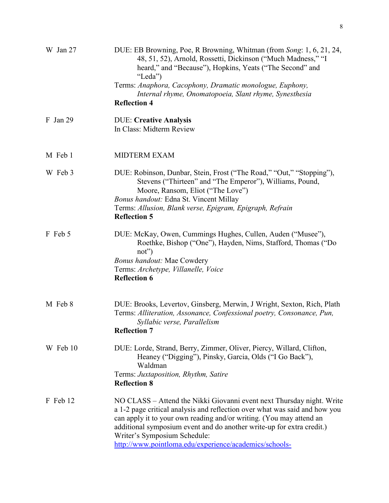| W Jan 27   | DUE: EB Browning, Poe, R Browning, Whitman (from Song: 1, 6, 21, 24,<br>48, 51, 52), Arnold, Rossetti, Dickinson ("Much Madness," "I<br>heard," and "Because"), Hopkins, Yeats ("The Second" and<br>"Leda")                                                                                                                                                                                   |
|------------|-----------------------------------------------------------------------------------------------------------------------------------------------------------------------------------------------------------------------------------------------------------------------------------------------------------------------------------------------------------------------------------------------|
|            | Terms: Anaphora, Cacophony, Dramatic monologue, Euphony,<br>Internal rhyme, Onomatopoeia, Slant rhyme, Synesthesia                                                                                                                                                                                                                                                                            |
|            | <b>Reflection 4</b>                                                                                                                                                                                                                                                                                                                                                                           |
| $F$ Jan 29 | <b>DUE: Creative Analysis</b><br>In Class: Midterm Review                                                                                                                                                                                                                                                                                                                                     |
| M Feb 1    | <b>MIDTERM EXAM</b>                                                                                                                                                                                                                                                                                                                                                                           |
| W Feb 3    | DUE: Robinson, Dunbar, Stein, Frost ("The Road," "Out," "Stopping"),<br>Stevens ("Thirteen" and "The Emperor"), Williams, Pound,<br>Moore, Ransom, Eliot ("The Love")                                                                                                                                                                                                                         |
|            | <b>Bonus handout: Edna St. Vincent Millay</b><br>Terms: Allusion, Blank verse, Epigram, Epigraph, Refrain<br><b>Reflection 5</b>                                                                                                                                                                                                                                                              |
| F Feb 5    | DUE: McKay, Owen, Cummings Hughes, Cullen, Auden ("Musee"),<br>Roethke, Bishop ("One"), Hayden, Nims, Stafford, Thomas ("Do<br>$not$ "                                                                                                                                                                                                                                                        |
|            | <b>Bonus handout: Mae Cowdery</b><br>Terms: Archetype, Villanelle, Voice<br><b>Reflection 6</b>                                                                                                                                                                                                                                                                                               |
| M Feb 8    | DUE: Brooks, Levertov, Ginsberg, Merwin, J Wright, Sexton, Rich, Plath<br>Terms: Alliteration, Assonance, Confessional poetry, Consonance, Pun,<br>Syllabic verse, Parallelism<br><b>Reflection 7</b>                                                                                                                                                                                         |
| W Feb 10   | DUE: Lorde, Strand, Berry, Zimmer, Oliver, Piercy, Willard, Clifton,<br>Heaney ("Digging"), Pinsky, Garcia, Olds ("I Go Back"),<br>Waldman                                                                                                                                                                                                                                                    |
|            | Terms: Juxtaposition, Rhythm, Satire<br><b>Reflection 8</b>                                                                                                                                                                                                                                                                                                                                   |
| F Feb 12   | NO CLASS – Attend the Nikki Giovanni event next Thursday night. Write<br>a 1-2 page critical analysis and reflection over what was said and how you<br>can apply it to your own reading and/or writing. (You may attend an<br>additional symposium event and do another write-up for extra credit.)<br>Writer's Symposium Schedule:<br>http://www.pointloma.edu/experience/academics/schools- |